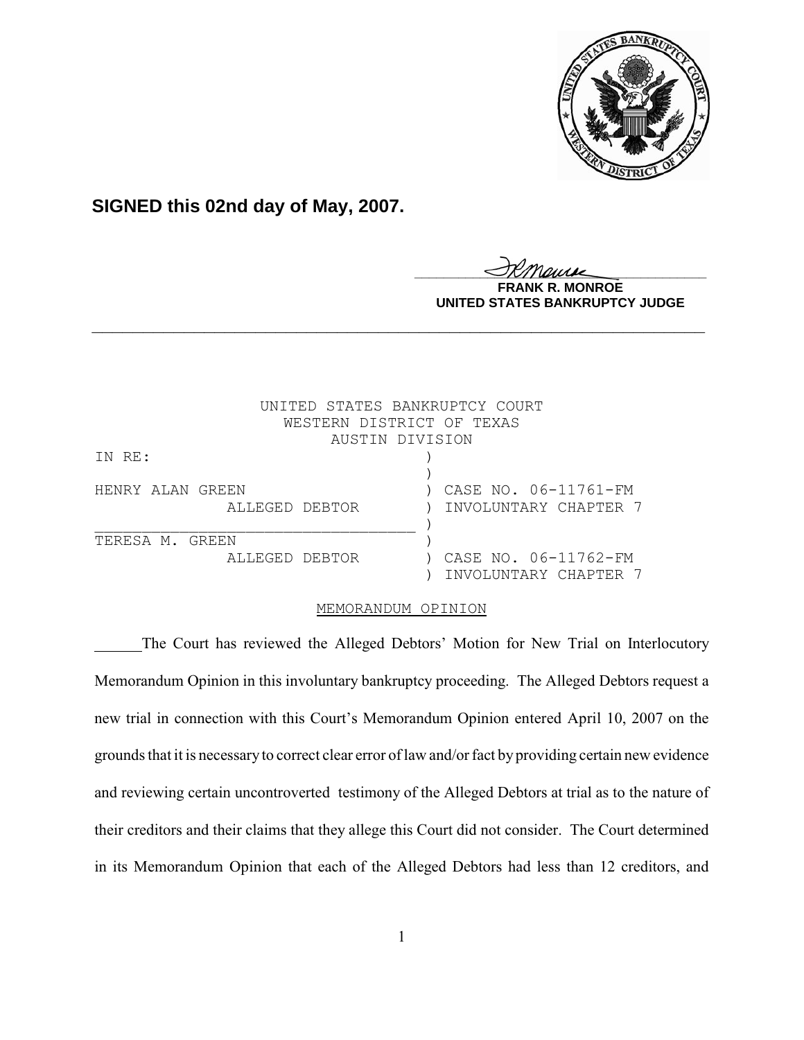

## **SIGNED this 02nd day of May, 2007.**

<u>IKThemse</u> **NROE UNITED STATES BANKRUPTCY JUDGE**

|                  | UNITED STATES BANKRUPTCY COURT |
|------------------|--------------------------------|
|                  | WESTERN DISTRICT OF TEXAS      |
|                  | AUSTIN DIVISION                |
| IN RE:           |                                |
|                  |                                |
| HENRY ALAN GREEN | CASE NO. 06-11761-FM           |
| ALLEGED DEBTOR   | INVOLUNTARY CHAPTER 7          |
|                  |                                |
| TERESA M. GREEN  |                                |
| ALLEGED DEBTOR   | CASE NO. 06-11762-FM           |
|                  | INVOLUNTARY CHAPTER 7          |

## MEMORANDUM OPINION

**\_\_\_\_\_\_\_\_\_\_\_\_\_\_\_\_\_\_\_\_\_\_\_\_\_\_\_\_\_\_\_\_\_\_\_\_\_\_\_\_\_\_\_\_\_\_\_\_\_\_\_\_\_\_\_\_\_\_\_\_**

The Court has reviewed the Alleged Debtors' Motion for New Trial on Interlocutory Memorandum Opinion in this involuntary bankruptcy proceeding. The Alleged Debtors request a new trial in connection with this Court's Memorandum Opinion entered April 10, 2007 on the grounds that it is necessary to correct clear error of law and/or fact by providing certain new evidence and reviewing certain uncontroverted testimony of the Alleged Debtors at trial as to the nature of their creditors and their claims that they allege this Court did not consider. The Court determined in its Memorandum Opinion that each of the Alleged Debtors had less than 12 creditors, and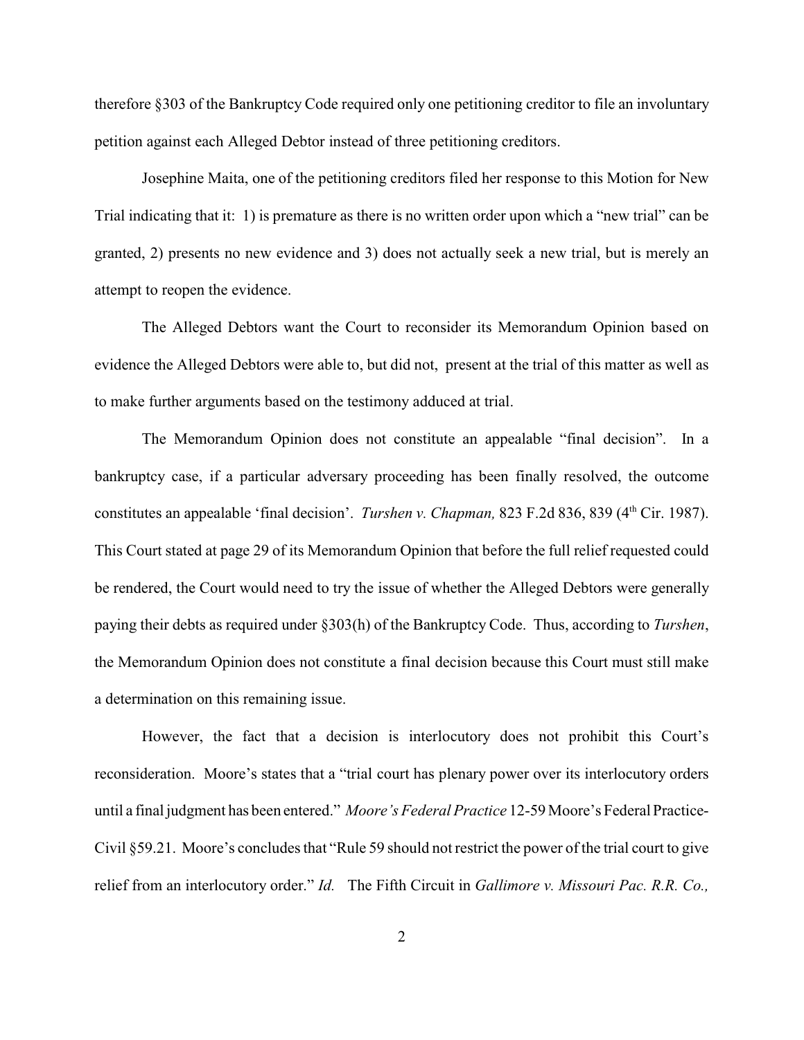therefore §303 of the Bankruptcy Code required only one petitioning creditor to file an involuntary petition against each Alleged Debtor instead of three petitioning creditors.

Josephine Maita, one of the petitioning creditors filed her response to this Motion for New Trial indicating that it: 1) is premature as there is no written order upon which a "new trial" can be granted, 2) presents no new evidence and 3) does not actually seek a new trial, but is merely an attempt to reopen the evidence.

The Alleged Debtors want the Court to reconsider its Memorandum Opinion based on evidence the Alleged Debtors were able to, but did not, present at the trial of this matter as well as to make further arguments based on the testimony adduced at trial.

The Memorandum Opinion does not constitute an appealable "final decision". In a bankruptcy case, if a particular adversary proceeding has been finally resolved, the outcome constitutes an appealable 'final decision'. *Turshen v. Chapman*, 823 F.2d 836, 839 (4<sup>th</sup> Cir. 1987). This Court stated at page 29 of its Memorandum Opinion that before the full relief requested could be rendered, the Court would need to try the issue of whether the Alleged Debtors were generally paying their debts as required under §303(h) of the Bankruptcy Code. Thus, according to *Turshen*, the Memorandum Opinion does not constitute a final decision because this Court must still make a determination on this remaining issue.

However, the fact that a decision is interlocutory does not prohibit this Court's reconsideration. Moore's states that a "trial court has plenary power over its interlocutory orders until a final judgment has been entered." *Moore's Federal Practice* 12-59 Moore's Federal Practice-Civil §59.21. Moore's concludes that "Rule 59 should not restrict the power of the trial court to give relief from an interlocutory order." *Id.* The Fifth Circuit in *Gallimore v. Missouri Pac. R.R. Co.,*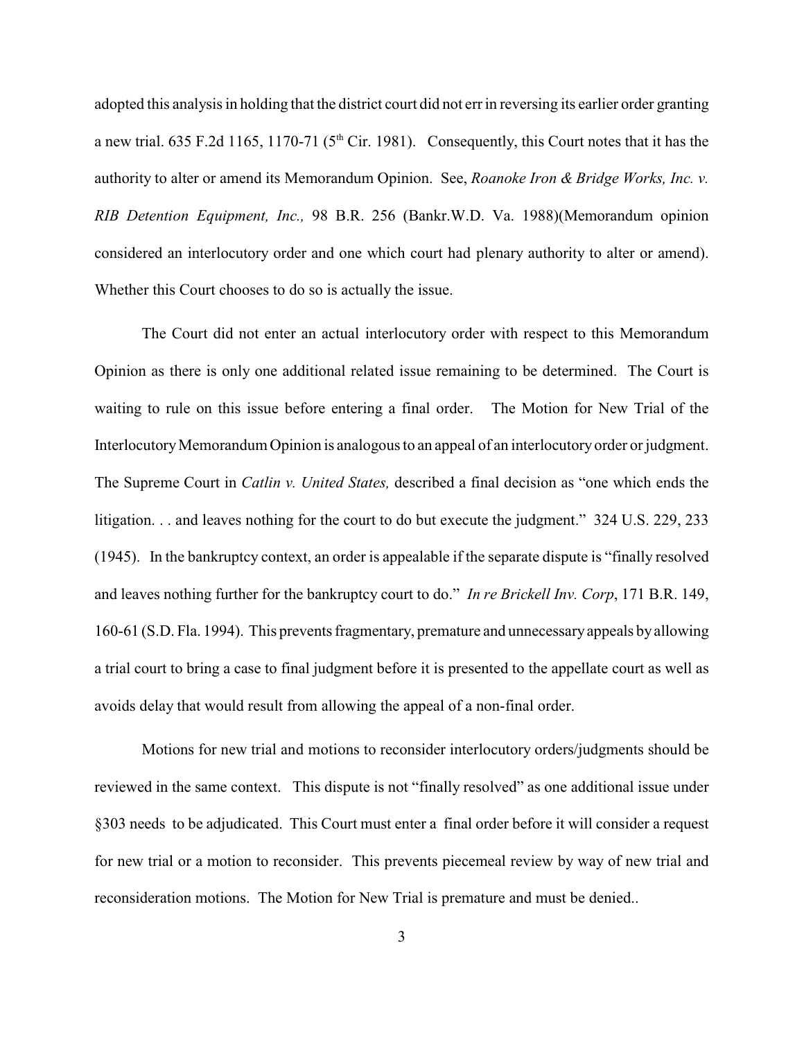adopted this analysis in holding that the district court did not errin reversing its earlier order granting a new trial. 635 F.2d 1165, 1170-71 ( $5<sup>th</sup>$  Cir. 1981). Consequently, this Court notes that it has the authority to alter or amend its Memorandum Opinion. See, *Roanoke Iron & Bridge Works, Inc. v. RIB Detention Equipment, Inc.,* 98 B.R. 256 (Bankr.W.D. Va. 1988)(Memorandum opinion considered an interlocutory order and one which court had plenary authority to alter or amend). Whether this Court chooses to do so is actually the issue.

The Court did not enter an actual interlocutory order with respect to this Memorandum Opinion as there is only one additional related issue remaining to be determined. The Court is waiting to rule on this issue before entering a final order. The Motion for New Trial of the Interlocutory Memorandum Opinion is analogous to an appeal of an interlocutory order or judgment. The Supreme Court in *Catlin v. United States,* described a final decision as "one which ends the litigation. . . and leaves nothing for the court to do but execute the judgment." 324 U.S. 229, 233 (1945). In the bankruptcy context, an order is appealable if the separate dispute is "finally resolved and leaves nothing further for the bankruptcy court to do." *In re Brickell Inv. Corp*, 171 B.R. 149, 160-61 (S.D. Fla. 1994). This prevents fragmentary, premature and unnecessary appeals by allowing a trial court to bring a case to final judgment before it is presented to the appellate court as well as avoids delay that would result from allowing the appeal of a non-final order.

Motions for new trial and motions to reconsider interlocutory orders/judgments should be reviewed in the same context. This dispute is not "finally resolved" as one additional issue under §303 needs to be adjudicated. This Court must enter a final order before it will consider a request for new trial or a motion to reconsider. This prevents piecemeal review by way of new trial and reconsideration motions. The Motion for New Trial is premature and must be denied..